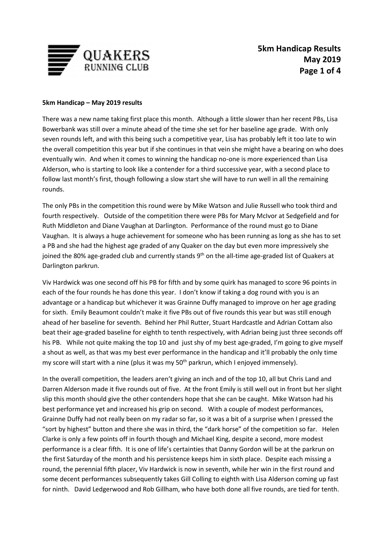

## **5km Handicap – May 2019 results**

There was a new name taking first place this month. Although a little slower than her recent PBs, Lisa Bowerbank was still over a minute ahead of the time she set for her baseline age grade. With only seven rounds left, and with this being such a competitive year, Lisa has probably left it too late to win the overall competition this year but if she continues in that vein she might have a bearing on who does eventually win. And when it comes to winning the handicap no-one is more experienced than Lisa Alderson, who is starting to look like a contender for a third successive year, with a second place to follow last month's first, though following a slow start she will have to run well in all the remaining rounds.

The only PBs in the competition this round were by Mike Watson and Julie Russell who took third and fourth respectively. Outside of the competition there were PBs for Mary McIvor at Sedgefield and for Ruth Middleton and Diane Vaughan at Darlington. Performance of the round must go to Diane Vaughan. It is always a huge achievement for someone who has been running as long as she has to set a PB and she had the highest age graded of any Quaker on the day but even more impressively she joined the 80% age-graded club and currently stands  $9<sup>th</sup>$  on the all-time age-graded list of Quakers at Darlington parkrun.

Viv Hardwick was one second off his PB for fifth and by some quirk has managed to score 96 points in each of the four rounds he has done this year. I don't know if taking a dog round with you is an advantage or a handicap but whichever it was Grainne Duffy managed to improve on her age grading for sixth. Emily Beaumont couldn't make it five PBs out of five rounds this year but was still enough ahead of her baseline for seventh. Behind her Phil Rutter, Stuart Hardcastle and Adrian Cottam also beat their age-graded baseline for eighth to tenth respectively, with Adrian being just three seconds off his PB. While not quite making the top 10 and just shy of my best age-graded, I'm going to give myself a shout as well, as that was my best ever performance in the handicap and it'll probably the only time my score will start with a nine (plus it was my  $50<sup>th</sup>$  parkrun, which I enjoyed immensely).

In the overall competition, the leaders aren't giving an inch and of the top 10, all but Chris Land and Darren Alderson made it five rounds out of five. At the front Emily is still well out in front but her slight slip this month should give the other contenders hope that she can be caught. Mike Watson had his best performance yet and increased his grip on second. With a couple of modest performances, Grainne Duffy had not really been on my radar so far, so it was a bit of a surprise when I pressed the "sort by highest" button and there she was in third, the "dark horse" of the competition so far. Helen Clarke is only a few points off in fourth though and Michael King, despite a second, more modest performance is a clear fifth. It is one of life's certainties that Danny Gordon will be at the parkrun on the first Saturday of the month and his persistence keeps him in sixth place. Despite each missing a round, the perennial fifth placer, Viv Hardwick is now in seventh, while her win in the first round and some decent performances subsequently takes Gill Colling to eighth with Lisa Alderson coming up fast for ninth. David Ledgerwood and Rob Gillham, who have both done all five rounds, are tied for tenth.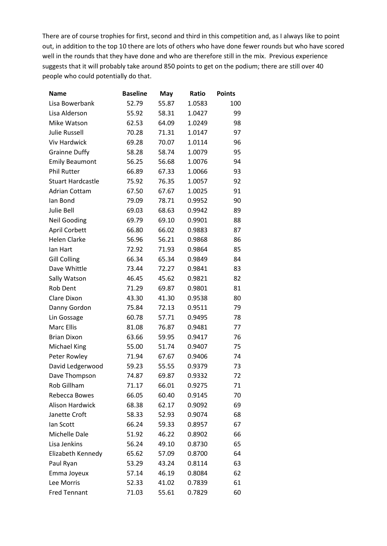There are of course trophies for first, second and third in this competition and, as I always like to point out, in addition to the top 10 there are lots of others who have done fewer rounds but who have scored well in the rounds that they have done and who are therefore still in the mix. Previous experience suggests that it will probably take around 850 points to get on the podium; there are still over 40 people who could potentially do that.

| Name                     | <b>Baseline</b> | May   | Ratio  | <b>Points</b> |
|--------------------------|-----------------|-------|--------|---------------|
| Lisa Bowerbank           | 52.79           | 55.87 | 1.0583 | 100           |
| Lisa Alderson            | 55.92           | 58.31 | 1.0427 | 99            |
| Mike Watson              | 62.53           | 64.09 | 1.0249 | 98            |
| <b>Julie Russell</b>     | 70.28           | 71.31 | 1.0147 | 97            |
| <b>Viv Hardwick</b>      | 69.28           | 70.07 | 1.0114 | 96            |
| <b>Grainne Duffy</b>     | 58.28           | 58.74 | 1.0079 | 95            |
| <b>Emily Beaumont</b>    | 56.25           | 56.68 | 1.0076 | 94            |
| <b>Phil Rutter</b>       | 66.89           | 67.33 | 1.0066 | 93            |
| <b>Stuart Hardcastle</b> | 75.92           | 76.35 | 1.0057 | 92            |
| <b>Adrian Cottam</b>     | 67.50           | 67.67 | 1.0025 | 91            |
| lan Bond                 | 79.09           | 78.71 | 0.9952 | 90            |
| Julie Bell               | 69.03           | 68.63 | 0.9942 | 89            |
| <b>Neil Gooding</b>      | 69.79           | 69.10 | 0.9901 | 88            |
| <b>April Corbett</b>     | 66.80           | 66.02 | 0.9883 | 87            |
| <b>Helen Clarke</b>      | 56.96           | 56.21 | 0.9868 | 86            |
| lan Hart                 | 72.92           | 71.93 | 0.9864 | 85            |
| <b>Gill Colling</b>      | 66.34           | 65.34 | 0.9849 | 84            |
| Dave Whittle             | 73.44           | 72.27 | 0.9841 | 83            |
| Sally Watson             | 46.45           | 45.62 | 0.9821 | 82            |
| <b>Rob Dent</b>          | 71.29           | 69.87 | 0.9801 | 81            |
| Clare Dixon              | 43.30           | 41.30 | 0.9538 | 80            |
| Danny Gordon             | 75.84           | 72.13 | 0.9511 | 79            |
| Lin Gossage              | 60.78           | 57.71 | 0.9495 | 78            |
| <b>Marc Ellis</b>        | 81.08           | 76.87 | 0.9481 | 77            |
| <b>Brian Dixon</b>       | 63.66           | 59.95 | 0.9417 | 76            |
| <b>Michael King</b>      | 55.00           | 51.74 | 0.9407 | 75            |
| Peter Rowley             | 71.94           | 67.67 | 0.9406 | 74            |
| David Ledgerwood         | 59.23           | 55.55 | 0.9379 | 73            |
| Dave Thompson            | 74.87           | 69.87 | 0.9332 | 72            |
| Rob Gillham              | 71.17           | 66.01 | 0.9275 | 71            |
| Rebecca Bowes            | 66.05           | 60.40 | 0.9145 | 70            |
| <b>Alison Hardwick</b>   | 68.38           | 62.17 | 0.9092 | 69            |
| Janette Croft            | 58.33           | 52.93 | 0.9074 | 68            |
| lan Scott                | 66.24           | 59.33 | 0.8957 | 67            |
| Michelle Dale            | 51.92           | 46.22 | 0.8902 | 66            |
| Lisa Jenkins             | 56.24           | 49.10 | 0.8730 | 65            |
| Elizabeth Kennedy        | 65.62           | 57.09 | 0.8700 | 64            |
| Paul Ryan                | 53.29           | 43.24 | 0.8114 | 63            |
| Emma Joyeux              | 57.14           | 46.19 | 0.8084 | 62            |
| Lee Morris               | 52.33           | 41.02 | 0.7839 | 61            |
| <b>Fred Tennant</b>      | 71.03           | 55.61 | 0.7829 | 60            |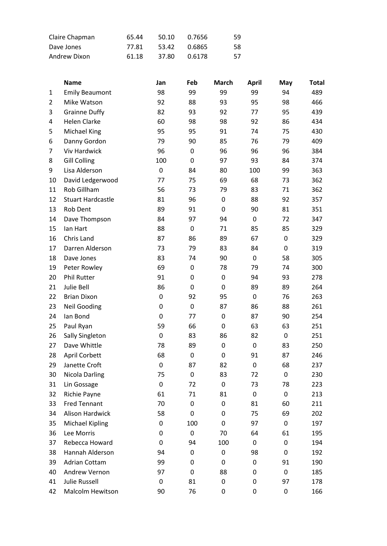| Claire Chapman | 65.44 | 50.10 | 0.7656 | 59 |
|----------------|-------|-------|--------|----|
| Dave Jones     | 77.81 | 53.42 | 0.6865 | 58 |
| Andrew Dixon   | 61.18 | 37.80 | 0.6178 | 57 |

|                | <b>Name</b>              | Jan              | Feb | <b>March</b>     | <b>April</b>     | May       | <b>Total</b> |
|----------------|--------------------------|------------------|-----|------------------|------------------|-----------|--------------|
| $\mathbf{1}$   | <b>Emily Beaumont</b>    | 98               | 99  | 99               | 99               | 94        | 489          |
| $\overline{2}$ | Mike Watson              | 92               | 88  | 93               | 95               | 98        | 466          |
| 3              | <b>Grainne Duffy</b>     | 82               | 93  | 92               | 77               | 95        | 439          |
| 4              | <b>Helen Clarke</b>      | 60               | 98  | 98               | 92               | 86        | 434          |
| 5              | Michael King             | 95               | 95  | 91               | 74               | 75        | 430          |
| 6              | Danny Gordon             | 79               | 90  | 85               | 76               | 79        | 409          |
| 7              | <b>Viv Hardwick</b>      | 96               | 0   | 96               | 96               | 96        | 384          |
| 8              | <b>Gill Colling</b>      | 100              | 0   | 97               | 93               | 84        | 374          |
| 9              | Lisa Alderson            | 0                | 84  | 80               | 100              | 99        | 363          |
| 10             | David Ledgerwood         | 77               | 75  | 69               | 68               | 73        | 362          |
| 11             | Rob Gillham              | 56               | 73  | 79               | 83               | 71        | 362          |
| 12             | <b>Stuart Hardcastle</b> | 81               | 96  | $\boldsymbol{0}$ | 88               | 92        | 357          |
| 13             | Rob Dent                 | 89               | 91  | $\boldsymbol{0}$ | 90               | 81        | 351          |
| 14             | Dave Thompson            | 84               | 97  | 94               | $\pmb{0}$        | 72        | 347          |
| 15             | lan Hart                 | 88               | 0   | 71               | 85               | 85        | 329          |
| 16             | Chris Land               | 87               | 86  | 89               | 67               | $\pmb{0}$ | 329          |
| 17             | Darren Alderson          | 73               | 79  | 83               | 84               | $\pmb{0}$ | 319          |
| 18             | Dave Jones               | 83               | 74  | 90               | $\pmb{0}$        | 58        | 305          |
| 19             | Peter Rowley             | 69               | 0   | 78               | 79               | 74        | 300          |
| 20             | <b>Phil Rutter</b>       | 91               | 0   | $\boldsymbol{0}$ | 94               | 93        | 278          |
| 21             | Julie Bell               | 86               | 0   | $\boldsymbol{0}$ | 89               | 89        | 264          |
| 22             | <b>Brian Dixon</b>       | 0                | 92  | 95               | 0                | 76        | 263          |
| 23             | <b>Neil Gooding</b>      | 0                | 0   | 87               | 86               | 88        | 261          |
| 24             | lan Bond                 | 0                | 77  | 0                | 87               | 90        | 254          |
| 25             | Paul Ryan                | 59               | 66  | $\boldsymbol{0}$ | 63               | 63        | 251          |
| 26             | Sally Singleton          | 0                | 83  | 86               | 82               | $\pmb{0}$ | 251          |
| 27             | Dave Whittle             | 78               | 89  | $\boldsymbol{0}$ | $\pmb{0}$        | 83        | 250          |
| 28             | April Corbett            | 68               | 0   | 0                | 91               | 87        | 246          |
| 29             | Janette Croft            | $\boldsymbol{0}$ | 87  | 82               | $\boldsymbol{0}$ | 68        | 237          |
| 30             | <b>Nicola Darling</b>    | 75               | 0   | 83               | 72               | 0         | 230          |
| 31             | Lin Gossage              | 0                | 72  | 0                | 73               | 78        | 223          |
| 32             | Richie Payne             | 61               | 71  | 81               | 0                | 0         | 213          |
| 33             | <b>Fred Tennant</b>      | 70               | 0   | 0                | 81               | 60        | 211          |
| 34             | Alison Hardwick          | 58               | 0   | 0                | 75               | 69        | 202          |
| 35             | <b>Michael Kipling</b>   | 0                | 100 | 0                | 97               | 0         | 197          |
| 36             | Lee Morris               | 0                | 0   | 70               | 64               | 61        | 195          |
| 37             | Rebecca Howard           | 0                | 94  | 100              | 0                | 0         | 194          |
| 38             | Hannah Alderson          | 94               | 0   | 0                | 98               | 0         | 192          |
| 39             | Adrian Cottam            | 99               | 0   | 0                | 0                | 91        | 190          |
| 40             | Andrew Vernon            | 97               | 0   | 88               | 0                | 0         | 185          |
| 41             | <b>Julie Russell</b>     | 0                | 81  | 0                | 0                | 97        | 178          |
| 42             | Malcolm Hewitson         | 90               | 76  | 0                | 0                | 0         | 166          |